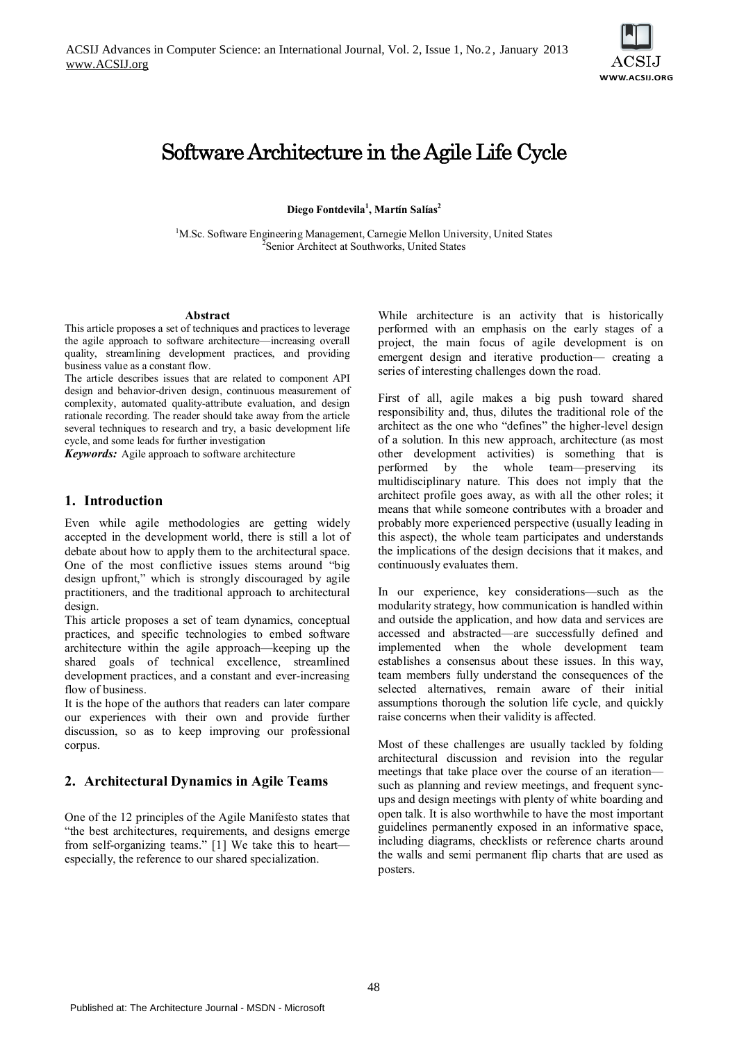

# Software Architecture in the Agile Life Cycle

**Diego Fontdevila<sup>1</sup> , Martín Salías2** 

<sup>1</sup>M.Sc. Software Engineering Management, Carnegie Mellon University, United States Senior Architect at Southworks, United States

#### **Abstract**

This article proposes a set of techniques and practices to leverage the agile approach to software architecture—increasing overall quality, streamlining development practices, and providing business value as a constant flow.

The article describes issues that are related to component API design and behavior-driven design, continuous measurement of complexity, automated quality-attribute evaluation, and design rationale recording. The reader should take away from the article several techniques to research and try, a basic development life cycle, and some leads for further investigation

*Keywords:* Agile approach to software architecture

#### **1. Introduction**

Even while agile methodologies are getting widely accepted in the development world, there is still a lot of debate about how to apply them to the architectural space. One of the most conflictive issues stems around "big design upfront," which is strongly discouraged by agile practitioners, and the traditional approach to architectural design.

This article proposes a set of team dynamics, conceptual practices, and specific technologies to embed software architecture within the agile approach—keeping up the shared goals of technical excellence, streamlined development practices, and a constant and ever-increasing flow of business.

It is the hope of the authors that readers can later compare our experiences with their own and provide further discussion, so as to keep improving our professional corpus.

## **2. Architectural Dynamics in Agile Teams**

One of the 12 principles of the Agile Manifesto states that "the best architectures, requirements, and designs emerge from self-organizing teams." [1] We take this to heart especially, the reference to our shared specialization.

While architecture is an activity that is historically performed with an emphasis on the early stages of a project, the main focus of agile development is on emergent design and iterative production— creating a series of interesting challenges down the road.

First of all, agile makes a big push toward shared responsibility and, thus, dilutes the traditional role of the architect as the one who "defines" the higher-level design of a solution. In this new approach, architecture (as most other development activities) is something that is performed by the whole team—preserving its multidisciplinary nature. This does not imply that the architect profile goes away, as with all the other roles; it means that while someone contributes with a broader and probably more experienced perspective (usually leading in this aspect), the whole team participates and understands the implications of the design decisions that it makes, and continuously evaluates them.

In our experience, key considerations—such as the modularity strategy, how communication is handled within and outside the application, and how data and services are accessed and abstracted—are successfully defined and implemented when the whole development team establishes a consensus about these issues. In this way, team members fully understand the consequences of the selected alternatives, remain aware of their initial assumptions thorough the solution life cycle, and quickly raise concerns when their validity is affected.

Most of these challenges are usually tackled by folding architectural discussion and revision into the regular meetings that take place over the course of an iteration such as planning and review meetings, and frequent syncups and design meetings with plenty of white boarding and open talk. It is also worthwhile to have the most important guidelines permanently exposed in an informative space, including diagrams, checklists or reference charts around the walls and semi permanent flip charts that are used as posters.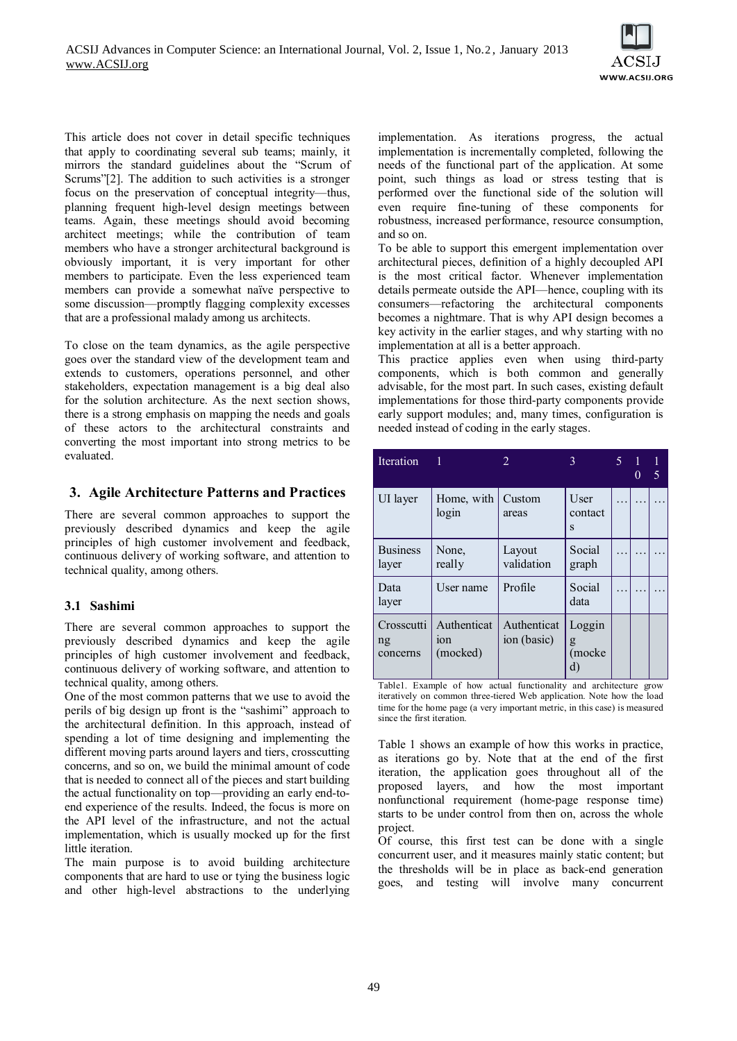

This article does not cover in detail specific techniques that apply to coordinating several sub teams; mainly, it mirrors the standard guidelines about the "Scrum of Scrums"[2]. The addition to such activities is a stronger focus on the preservation of conceptual integrity—thus, planning frequent high-level design meetings between teams. Again, these meetings should avoid becoming architect meetings; while the contribution of team members who have a stronger architectural background is obviously important, it is very important for other members to participate. Even the less experienced team members can provide a somewhat naïve perspective to some discussion—promptly flagging complexity excesses that are a professional malady among us architects.

To close on the team dynamics, as the agile perspective goes over the standard view of the development team and extends to customers, operations personnel, and other stakeholders, expectation management is a big deal also for the solution architecture. As the next section shows, there is a strong emphasis on mapping the needs and goals of these actors to the architectural constraints and converting the most important into strong metrics to be evaluated.

## **3. Agile Architecture Patterns and Practices**

There are several common approaches to support the previously described dynamics and keep the agile principles of high customer involvement and feedback, continuous delivery of working software, and attention to technical quality, among others.

## **3.1 Sashimi**

There are several common approaches to support the previously described dynamics and keep the agile principles of high customer involvement and feedback, continuous delivery of working software, and attention to technical quality, among others.

One of the most common patterns that we use to avoid the perils of big design up front is the "sashimi" approach to the architectural definition. In this approach, instead of spending a lot of time designing and implementing the different moving parts around layers and tiers, crosscutting concerns, and so on, we build the minimal amount of code that is needed to connect all of the pieces and start building the actual functionality on top—providing an early end-toend experience of the results. Indeed, the focus is more on the API level of the infrastructure, and not the actual implementation, which is usually mocked up for the first little iteration.

The main purpose is to avoid building architecture components that are hard to use or tying the business logic and other high-level abstractions to the underlying implementation. As iterations progress, the actual implementation is incrementally completed, following the needs of the functional part of the application. At some point, such things as load or stress testing that is performed over the functional side of the solution will even require fine-tuning of these components for robustness, increased performance, resource consumption, and so on.

To be able to support this emergent implementation over architectural pieces, definition of a highly decoupled API is the most critical factor. Whenever implementation details permeate outside the API—hence, coupling with its consumers—refactoring the architectural components becomes a nightmare. That is why API design becomes a key activity in the earlier stages, and why starting with no implementation at all is a better approach.

This practice applies even when using third-party components, which is both common and generally advisable, for the most part. In such cases, existing default implementations for those third-party components provide early support modules; and, many times, configuration is needed instead of coding in the early stages.

| <b>Iteration</b>             | 1                                          | $\mathfrak{D}$             | 3                           | 5. | $\mathbf{0}$ | 1<br>5 |
|------------------------------|--------------------------------------------|----------------------------|-----------------------------|----|--------------|--------|
| UI layer                     | Home, with<br>login                        | Custom<br>areas            | User<br>contact<br>S        |    |              |        |
| <b>Business</b><br>layer     | None.<br>really                            | Layout<br>validation       | Social<br>graph             |    |              |        |
| Data<br>layer                | User name                                  | Profile                    | Social<br>data              |    |              | .      |
| Crosscutti<br>ng<br>concerns | Authenticat<br>10 <sub>n</sub><br>(mocked) | Authenticat<br>ion (basic) | Loggin<br>g<br>(mocke<br>d) |    |              |        |

Table1. Example of how actual functionality and architecture grow iteratively on common three-tiered Web application. Note how the load time for the home page (a very important metric, in this case) is measured since the first iteration.

Table 1 shows an example of how this works in practice, as iterations go by. Note that at the end of the first iteration, the application goes throughout all of the proposed layers, and how the most important nonfunctional requirement (home-page response time) starts to be under control from then on, across the whole project.

Of course, this first test can be done with a single concurrent user, and it measures mainly static content; but the thresholds will be in place as back-end generation goes, and testing will involve many concurrent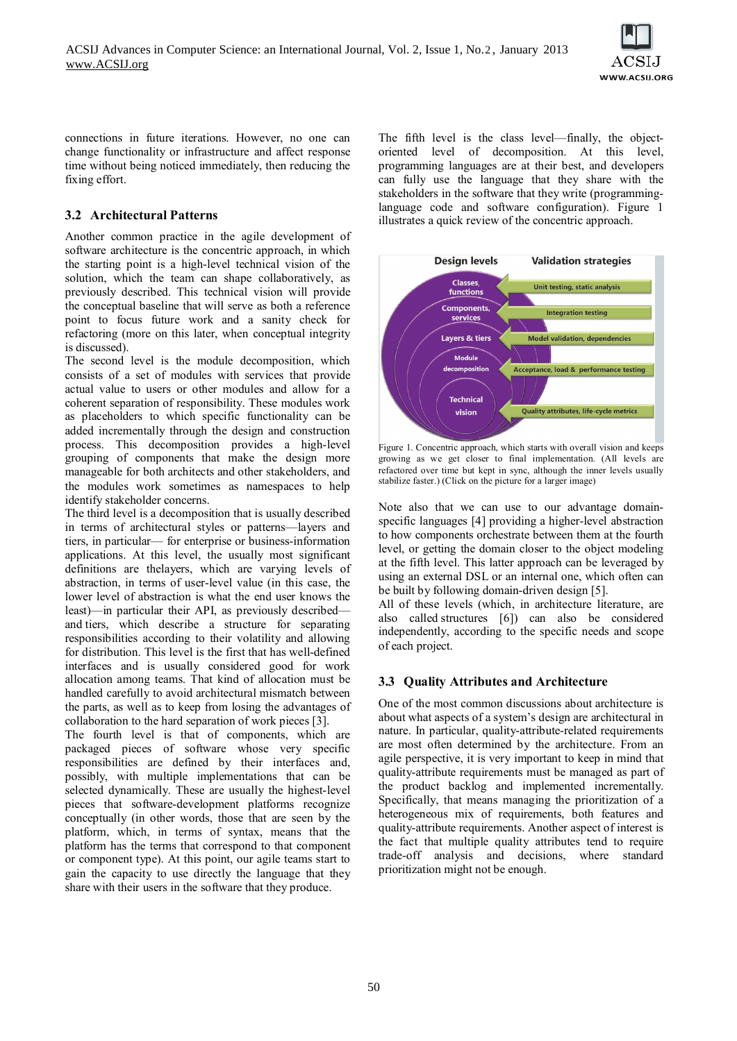

connections in future iterations. However, no one can change functionality or infrastructure and affect response time without being noticed immediately, then reducing the fixing effort.

# **3.2 Architectural Patterns**

Another common practice in the agile development of software architecture is the concentric approach, in which the starting point is a high-level technical vision of the solution, which the team can shape collaboratively, as previously described. This technical vision will provide the conceptual baseline that will serve as both a reference point to focus future work and a sanity check for refactoring (more on this later, when conceptual integrity is discussed).

The second level is the module decomposition, which consists of a set of modules with services that provide actual value to users or other modules and allow for a coherent separation of responsibility. These modules work as placeholders to which specific functionality can be added incrementally through the design and construction process. This decomposition provides a high-level grouping of components that make the design more manageable for both architects and other stakeholders, and the modules work sometimes as namespaces to help identify stakeholder concerns.

The third level is a decomposition that is usually described in terms of architectural styles or patterns—layers and tiers, in particular— for enterprise or business-information applications. At this level, the usually most significant definitions are thelayers, which are varying levels of abstraction, in terms of user-level value (in this case, the lower level of abstraction is what the end user knows the least)—in particular their API, as previously described and tiers, which describe a structure for separating responsibilities according to their volatility and allowing for distribution. This level is the first that has well-defined interfaces and is usually considered good for work allocation among teams. That kind of allocation must be handled carefully to avoid architectural mismatch between the parts, as well as to keep from losing the advantages of collaboration to the hard separation of work pieces [3].

The fourth level is that of components, which are packaged pieces of software whose very specific responsibilities are defined by their interfaces and, possibly, with multiple implementations that can be selected dynamically. These are usually the highest-level pieces that software-development platforms recognize conceptually (in other words, those that are seen by the platform, which, in terms of syntax, means that the platform has the terms that correspond to that component or component type). At this point, our agile teams start to gain the capacity to use directly the language that they share with their users in the software that they produce.

The fifth level is the class level—finally, the objectoriented level of decomposition. At this level, programming languages are at their best, and developers can fully use the language that they share with the stakeholders in the software that they write (programminglanguage code and software configuration). Figure 1 il[lustrates a quick review of the concentric approach.](http://msdn.microsoft.com/en-us/architecture/ff476940.a3f1(l=en-us).png)



Figure 1. Concentric approach, which starts with overall vision and keeps growing as we get closer to final implementation. (All levels are refactored over time but kept in sync, although the inner levels usually stabilize faster.) (Click on the picture for a larger image)

Note also that we can use to our advantage domainspecific languages [4] providing a higher-level abstraction to how components orchestrate between them at the fourth level, or getting the domain closer to the object modeling at the fifth level. This latter approach can be leveraged by using an external DSL or an internal one, which often can be built by following domain-driven design [5].

All of these levels (which, in architecture literature, are also called structures [6]) can also be considered independently, according to the specific needs and scope of each project.

## **3.3 Quality Attributes and Architecture**

One of the most common discussions about architecture is about what aspects of a system's design are architectural in nature. In particular, quality-attribute-related requirements are most often determined by the architecture. From an agile perspective, it is very important to keep in mind that quality-attribute requirements must be managed as part of the product backlog and implemented incrementally. Specifically, that means managing the prioritization of a heterogeneous mix of requirements, both features and quality-attribute requirements. Another aspect of interest is the fact that multiple quality attributes tend to require trade-off analysis and decisions, where standard prioritization might not be enough.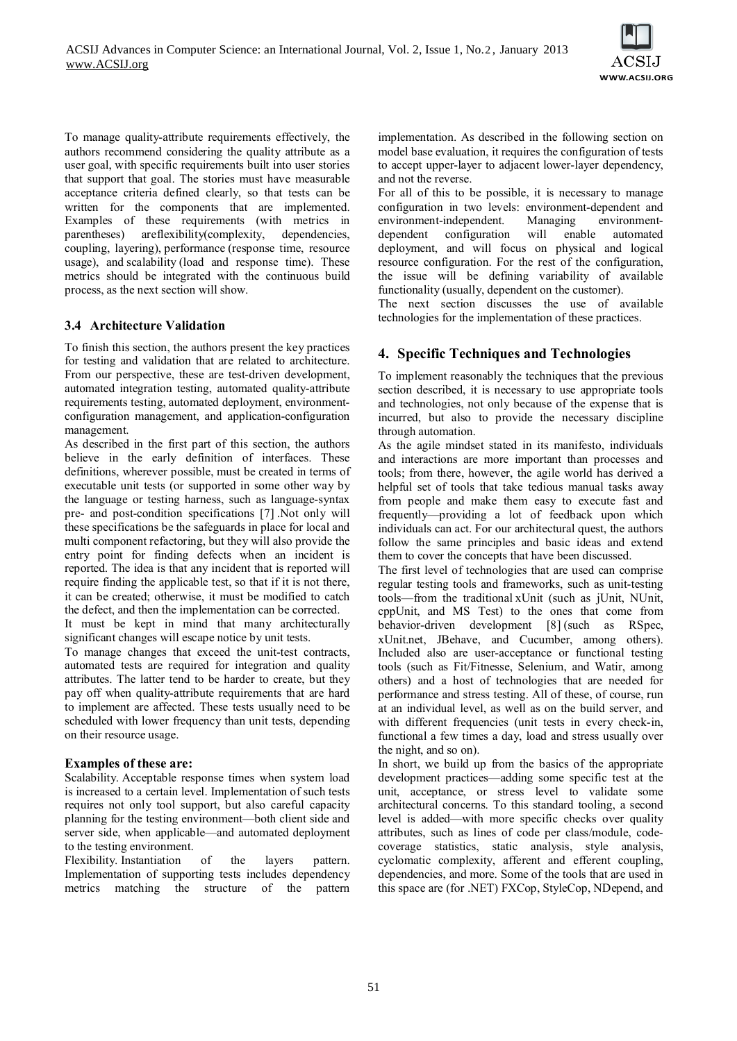

To manage quality-attribute requirements effectively, the authors recommend considering the quality attribute as a user goal, with specific requirements built into user stories that support that goal. The stories must have measurable acceptance criteria defined clearly, so that tests can be written for the components that are implemented. Examples of these requirements (with metrics in parentheses) areflexibility(complexity, dependencies, coupling, layering), performance (response time, resource usage), and scalability (load and response time). These metrics should be integrated with the continuous build process, as the next section will show.

#### **3.4 Architecture Validation**

To finish this section, the authors present the key practices for testing and validation that are related to architecture. From our perspective, these are test-driven development, automated integration testing, automated quality-attribute requirements testing, automated deployment, environmentconfiguration management, and application-configuration management.

As described in the first part of this section, the authors believe in the early definition of interfaces. These definitions, wherever possible, must be created in terms of executable unit tests (or supported in some other way by the language or testing harness, such as language-syntax pre- and post-condition specifications [7] .Not only will these specifications be the safeguards in place for local and multi component refactoring, but they will also provide the entry point for finding defects when an incident is reported. The idea is that any incident that is reported will require finding the applicable test, so that if it is not there, it can be created; otherwise, it must be modified to catch the defect, and then the implementation can be corrected.

It must be kept in mind that many architecturally significant changes will escape notice by unit tests.

To manage changes that exceed the unit-test contracts, automated tests are required for integration and quality attributes. The latter tend to be harder to create, but they pay off when quality-attribute requirements that are hard to implement are affected. These tests usually need to be scheduled with lower frequency than unit tests, depending on their resource usage.

#### **Examples of these are:**

Scalability. Acceptable response times when system load is increased to a certain level. Implementation of such tests requires not only tool support, but also careful capacity planning for the testing environment—both client side and server side, when applicable—and automated deployment to the testing environment.

Flexibility. Instantiation of the layers pattern. Implementation of supporting tests includes dependency metrics matching the structure of the pattern implementation. As described in the following section on model base evaluation, it requires the configuration of tests to accept upper-layer to adjacent lower-layer dependency, and not the reverse.

For all of this to be possible, it is necessary to manage configuration in two levels: environment-dependent and environment-independent. Managing environmentdependent configuration will enable automated deployment, and will focus on physical and logical resource configuration. For the rest of the configuration, the issue will be defining variability of available functionality (usually, dependent on the customer).

The next section discusses the use of available technologies for the implementation of these practices.

# **4. Specific Techniques and Technologies**

To implement reasonably the techniques that the previous section described, it is necessary to use appropriate tools and technologies, not only because of the expense that is incurred, but also to provide the necessary discipline through automation.

As the agile mindset stated in its manifesto, individuals and interactions are more important than processes and tools; from there, however, the agile world has derived a helpful set of tools that take tedious manual tasks away from people and make them easy to execute fast and frequently—providing a lot of feedback upon which individuals can act. For our architectural quest, the authors follow the same principles and basic ideas and extend them to cover the concepts that have been discussed.

The first level of technologies that are used can comprise regular testing tools and frameworks, such as unit-testing tools—from the traditional xUnit (such as jUnit, NUnit, cppUnit, and MS Test) to the ones that come from behavior-driven development [8] (such as RSpec, xUnit.net, JBehave, and Cucumber, among others). Included also are user-acceptance or functional testing tools (such as Fit/Fitnesse, Selenium, and Watir, among others) and a host of technologies that are needed for performance and stress testing. All of these, of course, run at an individual level, as well as on the build server, and with different frequencies (unit tests in every check-in, functional a few times a day, load and stress usually over the night, and so on).

In short, we build up from the basics of the appropriate development practices—adding some specific test at the unit, acceptance, or stress level to validate some architectural concerns. To this standard tooling, a second level is added—with more specific checks over quality attributes, such as lines of code per class/module, codecoverage statistics, static analysis, style analysis, cyclomatic complexity, afferent and efferent coupling, dependencies, and more. Some of the tools that are used in this space are (for .NET) FXCop, StyleCop, NDepend, and